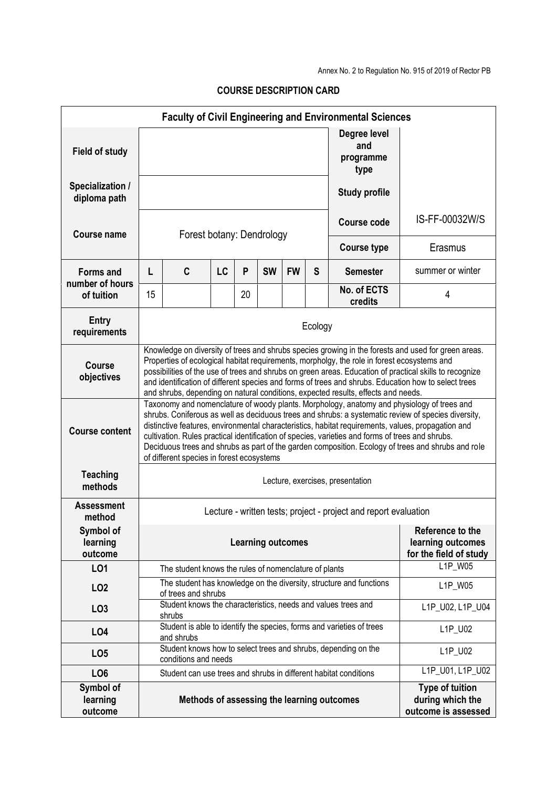Annex No. 2 to Regulation No. 915 of 2019 of Rector PB

|                                     |                                                                                                                                                                                                                                                                                                                                                                                                                                                                                                                                                                |                                                                         |    |    |           |           |                                                                 | <b>Faculty of Civil Engineering and Environmental Sciences</b>        |                                                                   |
|-------------------------------------|----------------------------------------------------------------------------------------------------------------------------------------------------------------------------------------------------------------------------------------------------------------------------------------------------------------------------------------------------------------------------------------------------------------------------------------------------------------------------------------------------------------------------------------------------------------|-------------------------------------------------------------------------|----|----|-----------|-----------|-----------------------------------------------------------------|-----------------------------------------------------------------------|-------------------------------------------------------------------|
| <b>Field of study</b>               |                                                                                                                                                                                                                                                                                                                                                                                                                                                                                                                                                                |                                                                         |    |    |           |           |                                                                 | Degree level<br>and<br>programme<br>type                              |                                                                   |
| Specialization /<br>diploma path    |                                                                                                                                                                                                                                                                                                                                                                                                                                                                                                                                                                |                                                                         |    |    |           |           |                                                                 | <b>Study profile</b>                                                  |                                                                   |
| Course name                         | Forest botany: Dendrology                                                                                                                                                                                                                                                                                                                                                                                                                                                                                                                                      |                                                                         |    |    |           |           |                                                                 | <b>Course code</b>                                                    | IS-FF-00032W/S                                                    |
|                                     |                                                                                                                                                                                                                                                                                                                                                                                                                                                                                                                                                                |                                                                         |    |    |           |           |                                                                 | <b>Course type</b>                                                    | Erasmus                                                           |
| <b>Forms and</b><br>number of hours | L                                                                                                                                                                                                                                                                                                                                                                                                                                                                                                                                                              | C                                                                       | LC | P  | <b>SW</b> | <b>FW</b> | S                                                               | <b>Semester</b>                                                       | summer or winter                                                  |
| of tuition                          | 15                                                                                                                                                                                                                                                                                                                                                                                                                                                                                                                                                             |                                                                         |    | 20 |           |           |                                                                 | No. of ECTS<br>credits                                                | 4                                                                 |
| <b>Entry</b><br>requirements        | Ecology                                                                                                                                                                                                                                                                                                                                                                                                                                                                                                                                                        |                                                                         |    |    |           |           |                                                                 |                                                                       |                                                                   |
| Course<br>objectives                | Knowledge on diversity of trees and shrubs species growing in the forests and used for green areas.<br>Properties of ecological habitat requirements, morpholgy, the role in forest ecosystems and<br>possibilities of the use of trees and shrubs on green areas. Education of practical skills to recognize<br>and identification of different species and forms of trees and shrubs. Education how to select trees<br>and shrubs, depending on natural conditions, expected results, effects and needs.                                                     |                                                                         |    |    |           |           |                                                                 |                                                                       |                                                                   |
| <b>Course content</b>               | Taxonomy and nomenclature of woody plants. Morphology, anatomy and physiology of trees and<br>shrubs. Coniferous as well as deciduous trees and shrubs: a systematic review of species diversity,<br>distinctive features, environmental characteristics, habitat requirements, values, propagation and<br>cultivation. Rules practical identification of species, varieties and forms of trees and shrubs.<br>Deciduous trees and shrubs as part of the garden composition. Ecology of trees and shrubs and role<br>of different species in forest ecosystems |                                                                         |    |    |           |           |                                                                 |                                                                       |                                                                   |
| <b>Teaching</b><br>methods          | Lecture, exercises, presentation                                                                                                                                                                                                                                                                                                                                                                                                                                                                                                                               |                                                                         |    |    |           |           |                                                                 |                                                                       |                                                                   |
| <b>Assessment</b><br>method         | Lecture - written tests; project - project and report evaluation                                                                                                                                                                                                                                                                                                                                                                                                                                                                                               |                                                                         |    |    |           |           |                                                                 |                                                                       |                                                                   |
| Symbol of<br>learning<br>outcome    | <b>Learning outcomes</b>                                                                                                                                                                                                                                                                                                                                                                                                                                                                                                                                       |                                                                         |    |    |           |           | Reference to the<br>learning outcomes<br>for the field of study |                                                                       |                                                                   |
| L01                                 |                                                                                                                                                                                                                                                                                                                                                                                                                                                                                                                                                                | The student knows the rules of nomenclature of plants                   |    |    |           |           |                                                                 |                                                                       | L1P_W05                                                           |
| LO <sub>2</sub>                     | The student has knowledge on the diversity, structure and functions<br>of trees and shrubs                                                                                                                                                                                                                                                                                                                                                                                                                                                                     |                                                                         |    |    |           | L1P_W05   |                                                                 |                                                                       |                                                                   |
| LO <sub>3</sub>                     |                                                                                                                                                                                                                                                                                                                                                                                                                                                                                                                                                                | Student knows the characteristics, needs and values trees and<br>shrubs |    |    |           |           |                                                                 |                                                                       | L1P_U02, L1P_U04                                                  |
| LO <sub>4</sub>                     |                                                                                                                                                                                                                                                                                                                                                                                                                                                                                                                                                                | and shrubs                                                              |    |    |           |           |                                                                 | Student is able to identify the species, forms and varieties of trees | L1P_U02                                                           |
| LO <sub>5</sub>                     |                                                                                                                                                                                                                                                                                                                                                                                                                                                                                                                                                                | conditions and needs                                                    |    |    |           |           |                                                                 | Student knows how to select trees and shrubs, depending on the        | L1P_U02                                                           |
| LO <sub>6</sub>                     |                                                                                                                                                                                                                                                                                                                                                                                                                                                                                                                                                                | Student can use trees and shrubs in different habitat conditions        |    |    |           |           |                                                                 |                                                                       | L1P_U01, L1P_U02                                                  |
| Symbol of<br>learning<br>outcome    |                                                                                                                                                                                                                                                                                                                                                                                                                                                                                                                                                                |                                                                         |    |    |           |           |                                                                 | Methods of assessing the learning outcomes                            | <b>Type of tuition</b><br>during which the<br>outcome is assessed |

## **COURSE DESCRIPTION CARD**